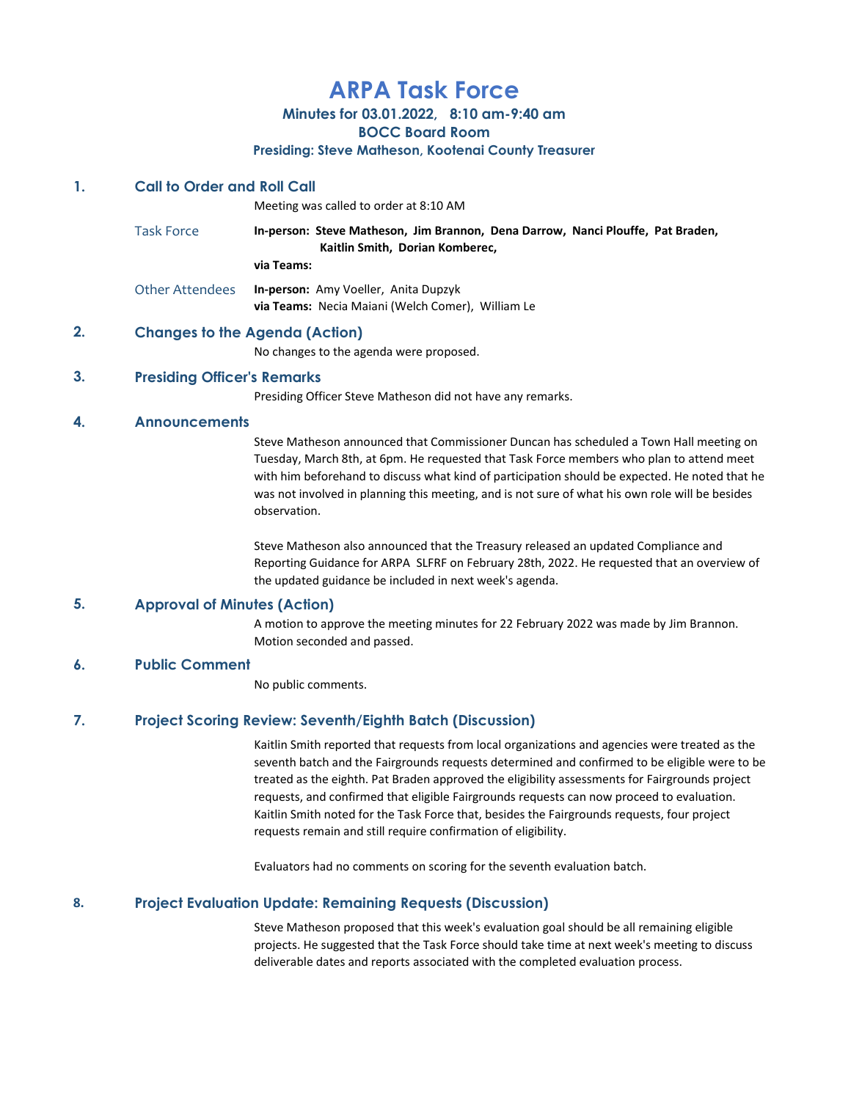# ARPA Task Force

Minutes for 03.01.2022, 8:10 am-9:40 am

BOCC Board Room

#### Presiding: Steve Matheson, Kootenai County Treasurer

#### 1. Call to Order and Roll Call

Meeting was called to order at 8:10 AM

Task Force **In-person: Steve Matheson, Jim Brannon, Dena Darrow, Nanci Plouffe, Pat Braden,**  Kaitlin Smith, Dorian Komberec, via Teams:

Other Attendees In-person: Amy Voeller, Anita Dupzyk via Teams: Necia Maiani (Welch Comer), William Le

## 2. Changes to the Agenda (Action)

No changes to the agenda were proposed.

## 3. Presiding Officer's Remarks

Presiding Officer Steve Matheson did not have any remarks.

## 4. Announcements

Steve Matheson announced that Commissioner Duncan has scheduled a Town Hall meeting on Tuesday, March 8th, at 6pm. He requested that Task Force members who plan to attend meet with him beforehand to discuss what kind of participation should be expected. He noted that he was not involved in planning this meeting, and is not sure of what his own role will be besides observation.

Steve Matheson also announced that the Treasury released an updated Compliance and Reporting Guidance for ARPA SLFRF on February 28th, 2022. He requested that an overview of the updated guidance be included in next week's agenda.

## 5. Approval of Minutes (Action)

A motion to approve the meeting minutes for 22 February 2022 was made by Jim Brannon. Motion seconded and passed.

## 6. Public Comment

No public comments.

## 7. Project Scoring Review: Seventh/Eighth Batch (Discussion)

Kaitlin Smith reported that requests from local organizations and agencies were treated as the seventh batch and the Fairgrounds requests determined and confirmed to be eligible were to be treated as the eighth. Pat Braden approved the eligibility assessments for Fairgrounds project requests, and confirmed that eligible Fairgrounds requests can now proceed to evaluation. Kaitlin Smith noted for the Task Force that, besides the Fairgrounds requests, four project requests remain and still require confirmation of eligibility.

Evaluators had no comments on scoring for the seventh evaluation batch.

## 8. Project Evaluation Update: Remaining Requests (Discussion)

Steve Matheson proposed that this week's evaluation goal should be all remaining eligible projects. He suggested that the Task Force should take time at next week's meeting to discuss deliverable dates and reports associated with the completed evaluation process.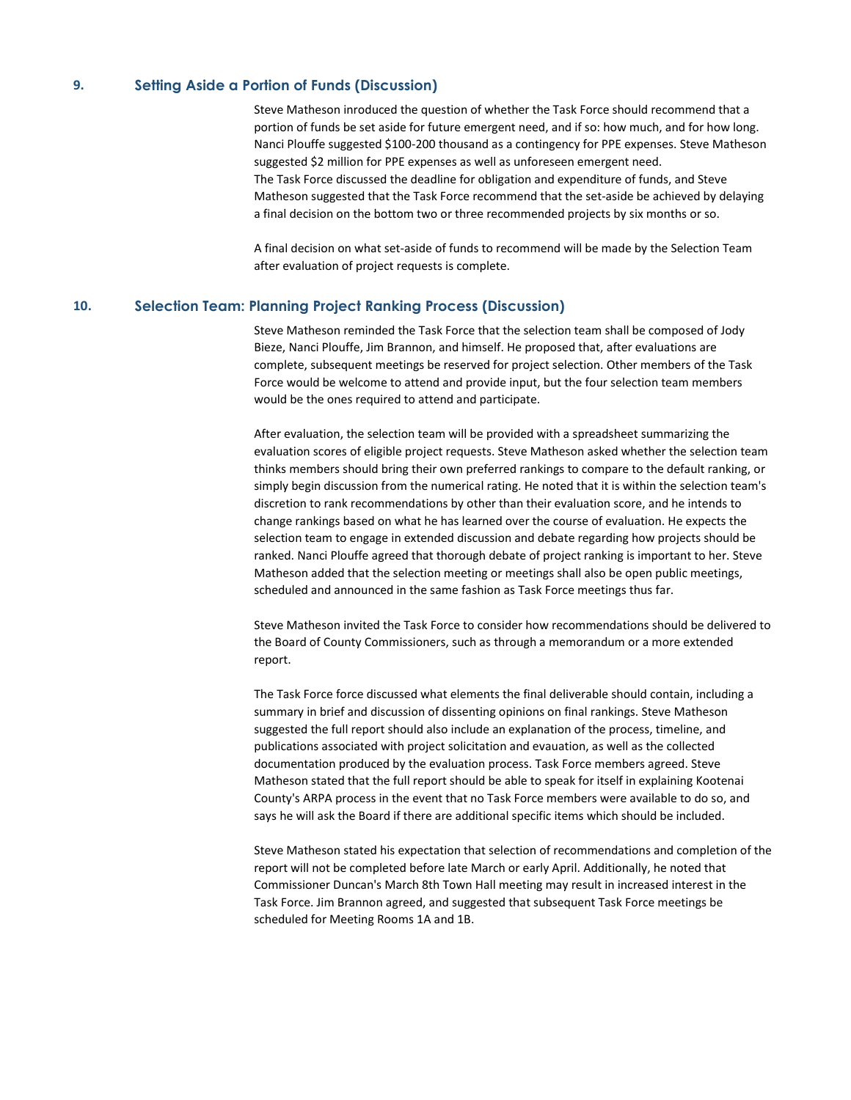#### 9. Setting Aside a Portion of Funds (Discussion)

Steve Matheson inroduced the question of whether the Task Force should recommend that a portion of funds be set aside for future emergent need, and if so: how much, and for how long. Nanci Plouffe suggested \$100-200 thousand as a contingency for PPE expenses. Steve Matheson suggested \$2 million for PPE expenses as well as unforeseen emergent need. The Task Force discussed the deadline for obligation and expenditure of funds, and Steve Matheson suggested that the Task Force recommend that the set-aside be achieved by delaying a final decision on the bottom two or three recommended projects by six months or so.

A final decision on what set-aside of funds to recommend will be made by the Selection Team after evaluation of project requests is complete.

## 10. Selection Team: Planning Project Ranking Process (Discussion)

Steve Matheson reminded the Task Force that the selection team shall be composed of Jody Bieze, Nanci Plouffe, Jim Brannon, and himself. He proposed that, after evaluations are complete, subsequent meetings be reserved for project selection. Other members of the Task Force would be welcome to attend and provide input, but the four selection team members would be the ones required to attend and participate.

After evaluation, the selection team will be provided with a spreadsheet summarizing the evaluation scores of eligible project requests. Steve Matheson asked whether the selection team thinks members should bring their own preferred rankings to compare to the default ranking, or simply begin discussion from the numerical rating. He noted that it is within the selection team's discretion to rank recommendations by other than their evaluation score, and he intends to change rankings based on what he has learned over the course of evaluation. He expects the selection team to engage in extended discussion and debate regarding how projects should be ranked. Nanci Plouffe agreed that thorough debate of project ranking is important to her. Steve Matheson added that the selection meeting or meetings shall also be open public meetings, scheduled and announced in the same fashion as Task Force meetings thus far.

Steve Matheson invited the Task Force to consider how recommendations should be delivered to the Board of County Commissioners, such as through a memorandum or a more extended report.

The Task Force force discussed what elements the final deliverable should contain, including a summary in brief and discussion of dissenting opinions on final rankings. Steve Matheson suggested the full report should also include an explanation of the process, timeline, and publications associated with project solicitation and evauation, as well as the collected documentation produced by the evaluation process. Task Force members agreed. Steve Matheson stated that the full report should be able to speak for itself in explaining Kootenai County's ARPA process in the event that no Task Force members were available to do so, and says he will ask the Board if there are additional specific items which should be included.

Steve Matheson stated his expectation that selection of recommendations and completion of the report will not be completed before late March or early April. Additionally, he noted that Commissioner Duncan's March 8th Town Hall meeting may result in increased interest in the Task Force. Jim Brannon agreed, and suggested that subsequent Task Force meetings be scheduled for Meeting Rooms 1A and 1B.